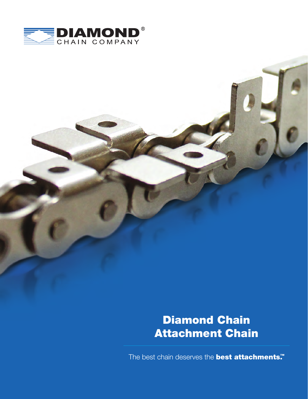

# Diamond Chain Attachment Chain

The best chain deserves the **best attachments.™**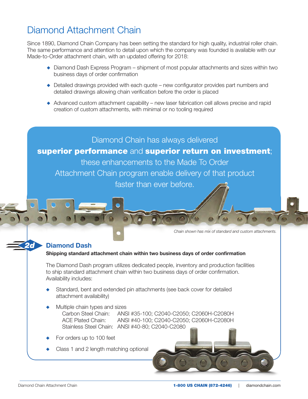## Diamond Attachment Chain

Since 1890, Diamond Chain Company has been setting the standard for high quality, industrial roller chain. The same performance and attention to detail upon which the company was founded is available with our Made-to-Order attachment chain, with an updated offering for 2018:

- ◆ Diamond Dash Express Program shipment of most popular attachments and sizes within two business days of order confirmation
- $\bullet$  Detailed drawings provided with each quote new configurator provides part numbers and detailed drawings allowing chain verification before the order is placed
- $\triangle$  Advanced custom attachment capability new laser fabrication cell allows precise and rapid creation of custom attachments, with minimal or no tooling required

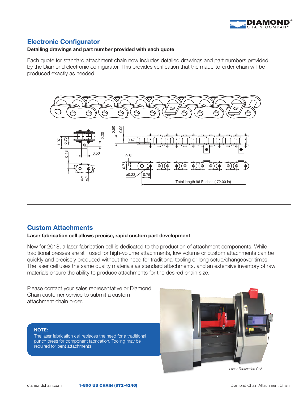

## **Electronic Configurator**

#### **Detailing drawings and part number provided with each quote**

Each quote for standard attachment chain now includes detailed drawings and part numbers provided by the Diamond electronic configurator. This provides verification that the made-to-order chain will be produced exactly as needed.



### **Custom Attachments**

#### **Laser fabrication cell allows precise, rapid custom part development**

New for 2018, a laser fabrication cell is dedicated to the production of attachment components. While traditional presses are still used for high-volume attachments, low volume or custom attachments can be quickly and precisely produced without the need for traditional tooling or long setup/changeover times. The laser cell uses the same quality materials as standard attachments, and an extensive inventory of raw materials ensure the ability to produce attachments for the desired chain size.

Please contact your sales representative or Diamond Chain customer service to submit a custom

#### **NOTE:**

The laser fabrication cell replaces the need for a traditional punch press for component fabrication. Tooling may be required for bent attachments.



*Laser Fabrication Cell*